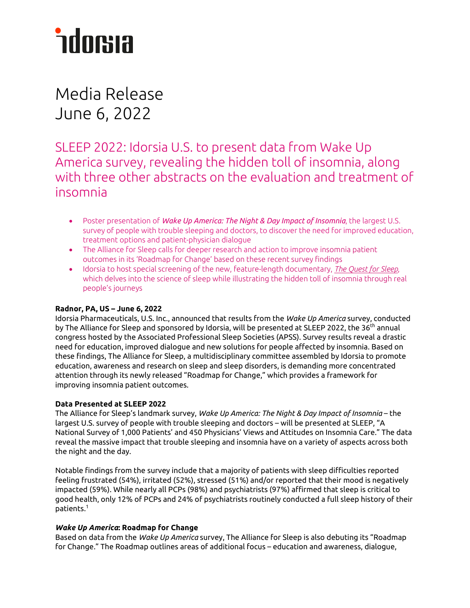# *<u>ndorsia</u>*

Media Release June 6, 2022

SLEEP 2022: Idorsia U.S. to present data from Wake Up America survey, revealing the hidden toll of insomnia, along with three other abstracts on the evaluation and treatment of insomnia

- Poster presentation of *Wake Up America: The Night & Day Impact of Insomnia*, the largest U.S. survey of people with trouble sleeping and doctors, to discover the need for improved education, treatment options and patient-physician dialogue
- The Alliance for Sleep calls for deeper research and action to improve insomnia patient outcomes in its 'Roadmap for Change' based on these recent survey findings
- Idorsia to host special screening of the new, feature-length documentary, *[The Quest for Sleep](https://www.thequestforsleep.com/)*, which delves into the science of sleep while illustrating the hidden toll of insomnia through real people's journeys

# **Radnor, PA, US – June 6, 2022**

Idorsia Pharmaceuticals, U.S. Inc., announced that results from the *Wake Up America* survey, conducted by The Alliance for Sleep and sponsored by Idorsia, will be presented at SLEEP 2022, the 36<sup>th</sup> annual congress hosted by the Associated Professional Sleep Societies (APSS). Survey results reveal a drastic need for education, improved dialogue and new solutions for people affected by insomnia. Based on these findings, The Alliance for Sleep, a multidisciplinary committee assembled by Idorsia to promote education, awareness and research on sleep and sleep disorders, is demanding more concentrated attention through its newly released "Roadmap for Change," which provides a framework for improving insomnia patient outcomes.

# **Data Presented at SLEEP 2022**

The Alliance for Sleep's landmark survey, *Wake Up America: The Night & Day Impact of Insomnia* – the largest U.S. survey of people with trouble sleeping and doctors – will be presented at SLEEP, "A National Survey of 1,000 Patients' and 450 Physicians' Views and Attitudes on Insomnia Care." The data reveal the massive impact that trouble sleeping and insomnia have on a variety of aspects across both the night and the day.

Notable findings from the survey include that a majority of patients with sleep difficulties reported feeling frustrated (54%), irritated (52%), stressed (51%) and/or reported that their mood is negatively impacted (59%). While nearly all PCPs (98%) and psychiatrists (97%) affirmed that sleep is critical to good health, only 12% of PCPs and 24% of psychiatrists routinely conducted a full sleep history of their patients. $^\mathrm{1}$ 

# *Wake Up America***: Roadmap for Change**

Based on data from the *Wake Up America* survey, The Alliance for Sleep is also debuting its "Roadmap for Change." The Roadmap outlines areas of additional focus – education and awareness, dialogue,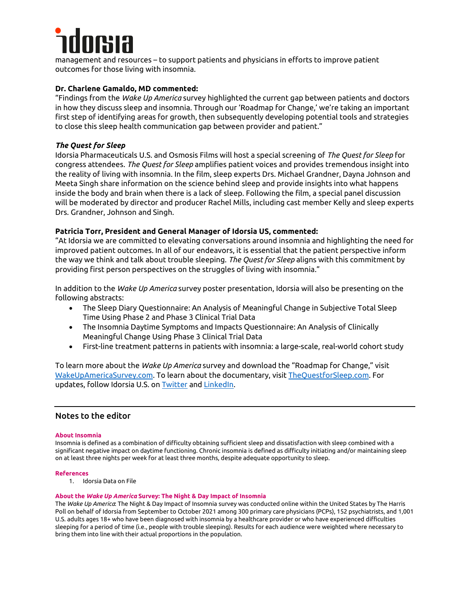management and resources – to support patients and physicians in efforts to improve patient outcomes for those living with insomnia.

# **Dr. Charlene Gamaldo, MD commented:**

"Findings from the *Wake Up America* survey highlighted the current gap between patients and doctors in how they discuss sleep and insomnia. Through our 'Roadmap for Change,' we're taking an important first step of identifying areas for growth, then subsequently developing potential tools and strategies to close this sleep health communication gap between provider and patient."

# *The Quest for Sleep*

Idorsia Pharmaceuticals U.S. and Osmosis Films will host a special screening of *The Quest for Sleep* for congress attendees. *The Quest for Sleep* amplifies patient voices and provides tremendous insight into the reality of living with insomnia. In the film, sleep experts Drs. Michael Grandner, Dayna Johnson and Meeta Singh share information on the science behind sleep and provide insights into what happens inside the body and brain when there is a lack of sleep. Following the film, a special panel discussion will be moderated by director and producer Rachel Mills, including cast member Kelly and sleep experts Drs. Grandner, Johnson and Singh.

# **Patricia Torr, President and General Manager of Idorsia US, commented:**

"At Idorsia we are committed to elevating conversations around insomnia and highlighting the need for improved patient outcomes. In all of our endeavors, it is essential that the patient perspective inform the way we think and talk about trouble sleeping. *The Quest for Sleep* aligns with this commitment by providing first person perspectives on the struggles of living with insomnia."

In addition to the *Wake Up America* survey poster presentation, Idorsia will also be presenting on the following abstracts:

- The Sleep Diary Questionnaire: An Analysis of Meaningful Change in Subjective Total Sleep Time Using Phase 2 and Phase 3 Clinical Trial Data
- The Insomnia Daytime Symptoms and Impacts Questionnaire: An Analysis of Clinically Meaningful Change Using Phase 3 Clinical Trial Data
- First-line treatment patterns in patients with insomnia: a large-scale, real-world cohort study

To learn more about the *Wake Up America* survey and download the "Roadmap for Change," visit [WakeUpAmericaSurvey.com.](https://ruderfinn.sharepoint.com/sites/RFIdorsia/Shared%20Documents/General/2022/Medical%20Meetings/SLEEP/Press%20Release/SLEEP%202022_Press%20Release%20Outline_4.7.22.docx) To learn about the documentary, visit [TheQuestforSleep.com.](https://www.thequestforsleep.com/) For updates, follow Idorsia U.S. on [Twitter](https://twitter.com/IdorsiaUS) and [LinkedIn.](https://www.linkedin.com/company/idorsiaus/) 

# Notes to the editor

## **About Insomnia**

Insomnia is defined as a combination of difficulty obtaining sufficient sleep and dissatisfaction with sleep combined with a significant negative impact on daytime functioning. Chronic insomnia is defined as difficulty initiating and/or maintaining sleep on at least three nights per week for at least three months, despite adequate opportunity to sleep.

#### **References**

1. Idorsia Data on File

#### **About the** *Wake Up America* **Survey: The Night & Day Impact of Insomnia**

The *Wake Up America*: The Night & Day Impact of Insomnia survey was conducted online within the United States by The Harris Poll on behalf of Idorsia from September to October 2021 among 300 primary care physicians (PCPs), 152 psychiatrists, and 1,001 U.S. adults ages 18+ who have been diagnosed with insomnia by a healthcare provider or who have experienced difficulties sleeping for a period of time (i.e., people with trouble sleeping). Results for each audience were weighted where necessary to bring them into line with their actual proportions in the population.